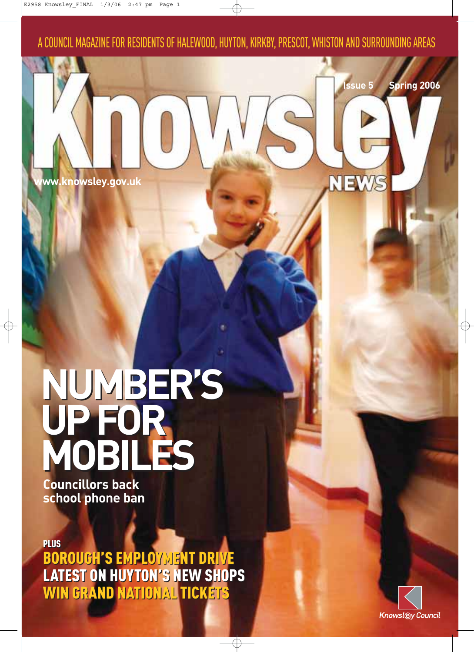A COUNCIL MAGAZINE FOR RESIDENTS OF HALEWOOD, HUYTON, KIRKBY, PRESCOT, WHISTON AND SURROUNDING AREAS

**www.knowsley.gov.uk**

### **NUMBER'S UP FOR MOBILES NUMBER'S UP FOR MOBILES**

**Councillors back school phone ban**

PLUS PLUS

BOROUGH'S EMPLOYMENT DRIVE LATEST ON HUYTON'S NEW SHOPS WIN GRAND NATIONAL TICKETS WIN GRAND NATIONAL TICKETS BOROUGH'S EMPLOYMENT DRIVE LATEST ON HUYTON'S NEW SHOPS



**Issue 5 Spring 2006**

**NEWS**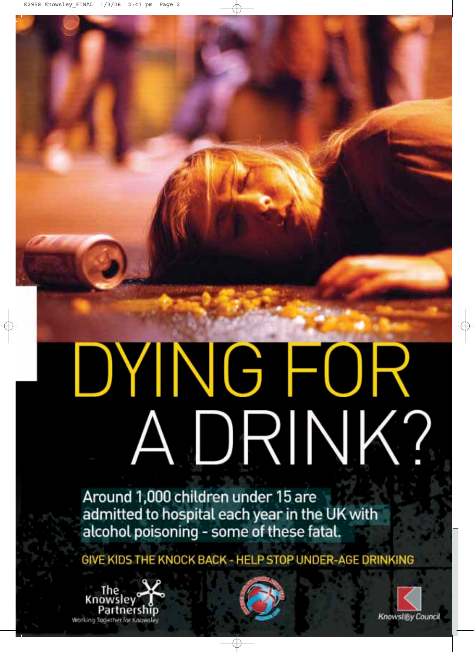# DYING FOR A DRINK?

Around 1,000 children under 15 are admitted to hospital each year in the UK with alcohol poisoning - some of these fatal.

GIVE KIDS THE KNOCK BACK - HELP STOP UNDER-AGE DRINKING





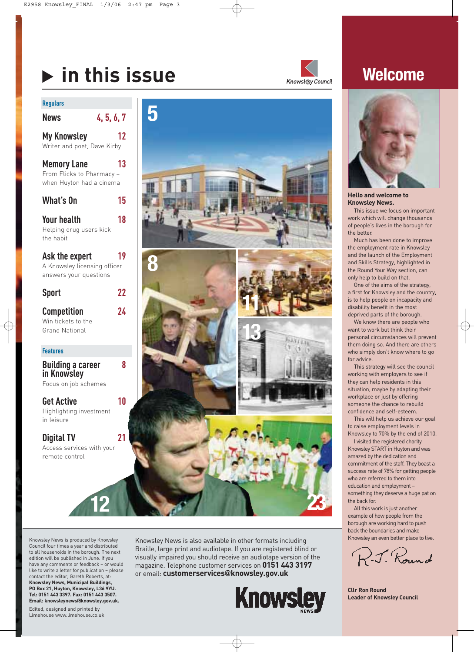## **in this issue**



### **Welcome**

### **Regulars**

| <b>News</b>                                                                 | 4, 5, 6, 7 |
|-----------------------------------------------------------------------------|------------|
| <b>My Knowsley</b><br>Writer and poet, Dave Kirby                           | 12         |
| <b>Memory Lane</b><br>From Flicks to Pharmacy -<br>when Huyton had a cinema | 13         |
| What's On                                                                   | 15         |

**Your health 18** Helping drug users kick the habit

**Ask the expert 19** A Knowsley licensing officer answers your questions

**Sport 22**

**Competition 24** Win tickets to the Grand National

### **Features**

**Building a career 8 in Knowsley**  Focus on job schemes

**Get Active 10** Highlighting investment in leisure

**Digital TV 21** Access services with your remote control





**Hello and welcome to Knowsley News.**

This issue we focus on important work which will change thousands of people's lives in the borough for the better.

Much has been done to improve the employment rate in Knowsley and the launch of the Employment and Skills Strategy, highlighted in the Round Your Way section, can only help to build on that.

One of the aims of the strategy, a first for Knowsley and the country, is to help people on incapacity and disability benefit in the most deprived parts of the borough.

We know there are people who want to work but think their personal circumstances will prevent them doing so. And there are others who simply don't know where to go for advice.

This strategy will see the council working with employers to see if they can help residents in this situation, maybe by adapting their workplace or just by offering someone the chance to rebuild confidence and self-esteem.

This will help us achieve our goal to raise employment levels in Knowsley to 70% by the end of 2010.

I visited the registered charity Knowsley START in Huyton and was amazed by the dedication and commitment of the staff. They boast a success rate of 78% for getting people who are referred to them into education and employment – something they deserve a huge pat on the back for.

All this work is just another example of how people from the borough are working hard to push back the boundaries and make Knowsley an even better place to live.

R.J. Round

**Cllr Ron Round Leader of Knowsley Council**

Council four times a year and distributed to all households in the borough. The next edition will be published in June. If you have any comments or feedback – or would like to write a letter for publication – please contact the editor, Gareth Roberts, at: **Knowsley News, Municipal Buildings, PO Box 21, Huyton, Knowsley, L36 9YU. Tel: 0151 443 3397. Fax: 0151 443 3507. Email: knowsleynews@knowsley.gov.uk.**

Knowsley News is produced by Knowsley

Edited, designed and printed by Limehouse www.limehouse.co.uk Knowsley News is also available in other formats including Braille, large print and audiotape. If you are registered blind or visually impaired you should receive an audiotape version of the magazine. Telephone customer services on **0151 443 3197** or email: **customerservices@knowsley.gov.uk**

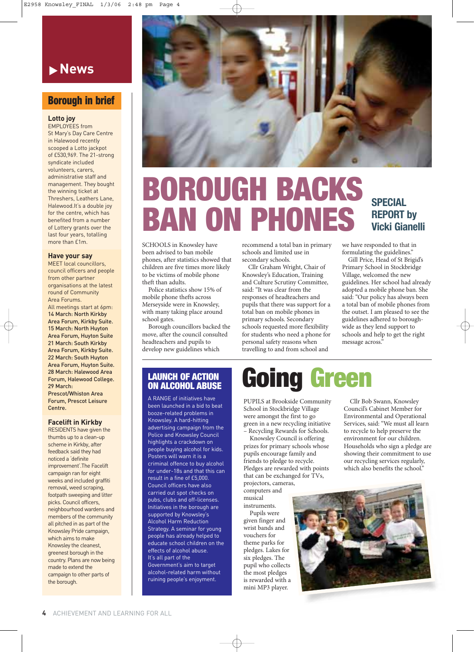

### **Borough in brief**

**Lotto joy**

EMPLOYEES from St Mary's Day Care Centre in Halewood recently scooped a Lotto jackpot of £530,969. The 21-strong syndicate included volunteers, carers, administrative staff and management. They bought the winning ticket at Threshers, Leathers Lane, Halewood.It's a double joy for the centre, which has benefited from a number of Lottery grants over the last four years, totalling more than £1m.

#### **Have your say**

MEET local councillors, council officers and people from other partner organisations at the latest round of Community Area Forums. All meetings start at 6pm:

14 March: North Kirkby Area Forum, Kirkby Suite. 15 March: North Huyton Area Forum, Huyton Suite 21 March: South Kirkby Area Forum, Kirkby Suite. 22 March: South Huyton Area Forum, Huyton Suite. 28 March: Halewood Area Forum, Halewood College. 29 March:

Prescot/Whiston Area Forum, Prescot Leisure Centre.

### **Facelift in Kirkby**

RESIDENTS have given the thumbs up to a clean-up scheme in Kirkby, after feedback said they had noticed a 'definite improvement'.The Facelift campaign ran for eight weeks and included graffiti removal, weed scraping, footpath sweeping and litter picks. Council officers, neighbourhood wardens and members of the community all pitched in as part of the Knowsley Pride campaign, which aims to make Knowsley the cleanest, greenest borough in the country. Plans are now being made to extend the campaign to other parts of the borough.



# **BOROUGH BACKS BAN ON PHONES**

SCHOOLS in Knowsley have been advised to ban mobile phones, after statistics showed that children are five times more likely to be victims of mobile phone theft than adults.

Police statistics show 15% of mobile phone thefts across Merseyside were in Knowsley, with many taking place around school gates.

Borough councillors backed the move, after the council consulted headteachers and pupils to develop new guidelines which

recommend a total ban in primary schools and limited use in secondary schools.

Cllr Graham Wright, Chair of Knowsley's Education, Training and Culture Scrutiny Committee, said: "It was clear from the responses of headteachers and pupils that there was support for a total ban on mobile phones in primary schools. Secondary schools requested more flexibility for students who need a phone for personal safety reasons when travelling to and from school and

### **SPECIAL REPORT by Vicki Gianelli**

we have responded to that in formulating the guidelines."

Gill Price, Head of St Brigid's Primary School in Stockbridge Village, welcomed the new guidelines. Her school had already adopted a mobile phone ban. She said: "Our policy has always been a total ban of mobile phones from the outset. I am pleased to see the guidelines adhered to boroughwide as they lend support to schools and help to get the right message across."

### **LAUNCH OF ACTION ON ALCOHOL ABUSE**

A RANGE of initiatives have been launched in a bid to beat booze-related problems in Knowsley. A hard-hitting advertising campaign from the Police and Knowsley Council highlights a crackdown on people buying alcohol for kids. Posters will warn it is a criminal offence to buy alcohol for under-18s and that this can result in a fine of £5,000. Council officers have also carried out spot checks on pubs, clubs and off-licenses. Initiatives in the borough are supported by Knowsley's Alcohol Harm Reduction Strategy. A seminar for young people has already helped to educate school children on the effects of alcohol abuse. It's all part of the Government's aim to target alcohol-related harm without ruining people's enjoyment.

## **Going Green**

PUPILS at Brookside Community School in Stockbridge Village were amongst the first to go green in a new recycling initiative – Recycling Rewards for Schools.

Knowsley Council is offering prizes for primary schools whose pupils encourage family and friends to pledge to recycle. Pledges are rewarded with points that can be exchanged for TVs, projectors, cameras,

computers and musical instruments. Pupils were given finger and wrist bands and vouchers for theme parks for pledges. Lakes for six pledges. The pupil who collects the most pledges is rewarded with a mini MP3 player.

Cllr Bob Swann, Knowsley Council's Cabinet Member for Environmental and Operational Services, said: "We must all learn to recycle to help preserve the environment for our children. Households who sign a pledge are showing their commitment to use our recycling services regularly, which also benefits the school."

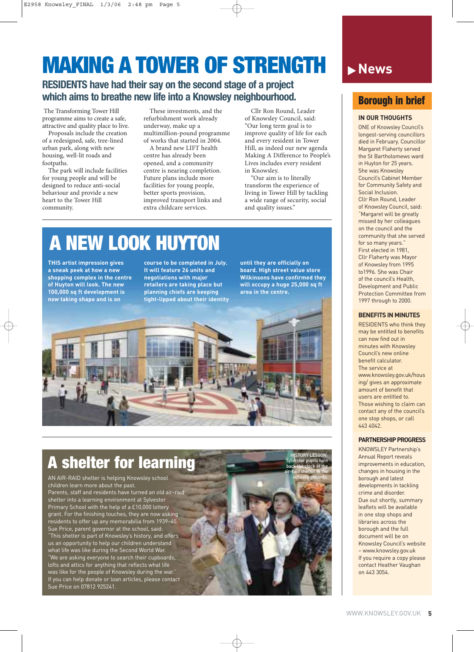## **MAKING A TOWER OF STRENGTH IS News**

### **RESIDENTS have had their say on the second stage of a project which aims to breathe new life into a Knowsley neighbourhood.**

The Transforming Tower Hill programme aims to create a safe, attractive and quality place to live.

Proposals include the creation of a redesigned, safe, tree-lined urban park, along with new housing, well-lit roads and footpaths.

The park will include facilities for young people and will be designed to reduce anti-social behaviour and provide a new heart to the Tower Hill community.

These investments, and the refurbishment work already underway, make up a multimillion-pound programme of works that started in 2004.

A brand new LIFT health centre has already been opened, and a community centre is nearing completion. Future plans include more facilities for young people, better sports provision, improved transport links and extra childcare services.

Cllr Ron Round, Leader of Knowsley Council, said: "Our long term goal is to improve quality of life for each and every resident in Tower Hill, as indeed our new agenda Making A Difference to People's Lives includes every resident in Knowsley.

"Our aim is to literally transform the experience of living in Tower Hill by tackling a wide range of security, social and quality issues."

### **A NEW LOOK HUYTON**

**THIS artist impression gives a sneak peek at how a new shopping complex in the centre of Huyton will look. The new 100,000 sq ft development is now taking shape and is on**

**course to be completed in July. It will feature 26 units and negotiations with major retailers are taking place but planning chiefs are keeping tight-lipped about their identity** **until they are officially on board. High street value store Wilkinsons have confirmed they will occupy a huge 25,000 sq ft area in the centre.**

> Sylvester pupils turn back the clock at the air-raid shelter in the school's grounds.



### **A shelter for learning** HISTORY LESSON

Sue Price on 07812 925241. AN AIR-RAID shelter is helping Knowsley school children learn more about the past. Parents, staff and residents have turned an old air-raid shelter into a learning environment at Sylvester Primary School with the help of a £10,000 lottery grant. For the finishing touches, they are now asking residents to offer up any memorabilia from 1939–45. Sue Price, parent governor at the school, said: "This shelter is part of Knowsley's history, and offers us an opportunity to help our children understand what life was like during the Second World War. "We are asking everyone to search their cupboards, lofts and attics for anything that reflects what life was like for the people of Knowsley during the war. If you can help donate or loan articles, please contact

### **Borough in brief**

### **IN OUR THOUGHTS**

ONE of Knowsley Council's longest-serving councillors died in February. Councillor Margaret Flaherty served the St Bartholomews ward in Huyton for 25 years. She was Knowsley Council's Cabinet Member for Community Safety and Social Inclusion. Cllr Ron Round, Leader of Knowsley Council, said: "Margaret will be greatly missed by her colleagues on the council and the community that she served for so many years." First elected in 1981, Cllr Flaherty was Mayor of Knowsley from 1995 to1996. She was Chair of the council's Health, Development and Public Protection Committee from 1997 through to 2000.

### **BENEFITS IN MINUTES**

RESIDENTS who think they may be entitled to benefits can now find out in minutes with Knowsley Council's new online benefit calculator. The service at www.knowsley.gov.uk/hous ing/ gives an approximate amount of benefit that users are entitled to. Those wishing to claim can contact any of the council's one stop shops, or call 443 4042.

### **PARTNERSHIP PROGRESS**

KNOWSLEY Partnership's Annual Report reveals improvements in education, changes in housing in the borough and latest developments in tackling crime and disorder. Due out shortly, summary leaflets will be available in one stop shops and libraries across the borough and the full document will be on Knowsley Council's website – www.knowsley.gov.uk If you require a copy please contact Heather Vaughan on 443 3054.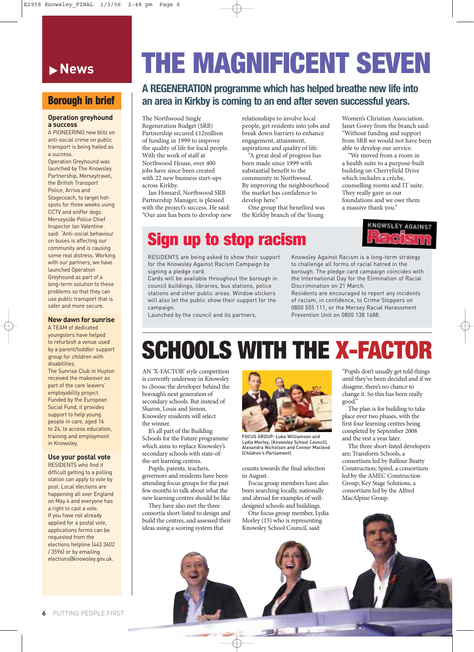### **News**

### **Borough in brief**

### **Operation greyhound a success**

A PIONEERING new blitz on anti-social crime on public transport is being hailed as a success.

Operation Greyhound was launched by The Knowsley Partnership, Merseytravel, the British Transport Police, Arriva and Stagecoach, to target hotspots for three weeks using CCTV and sniffer dogs. Merseyside Police Chief Inspector Ian Valentine said: "Anti-social behaviour on buses is affecting our community and is causing some real distress. Working with our partners, we have launched Operation Greyhound as part of a long-term solution to these problems so that they can use public transport that is safer and more secure.

### **New dawn for sunrise**

A TEAM of dedicated youngsters have helped to refurbish a venue used by a parent/toddler support group for children with disabilities.

The Sunrise Club in Huyton received the makeover as part of the care leavers' employability project. Funded by the European Social Fund, it provides support to help young people in care, aged 16 to 24, to access education, training and employment in Knowsley.

### **Use your postal vote**

RESIDENTS who find it difficult getting to a polling station can apply to vote by post. Local elections are happening all over England on May 4 and everyone has a right to cast a vote. If you have not already applied for a postal vote, applications forms can be requested from the elections helpline (443 3602 / 3596) or by emailing elections@knowsley.gov.uk.

# **THE MAGNIFICENT SEVEN**

### **A REGENERATION programme which has helped breathe new life into an area in Kirkby is coming to an end after seven successful years.**

The Northwood Single Regeneration Budget (SRB) Partnership secured £12million of funding in 1999 to improve the quality of life for local people. With the work of staff at Northwood House, over 400 jobs have since been created with 22 new business start-ups across Kirkby.

Ian Homard, Northwood SRB Partnership Manager, is pleased with the project's success. He said: "Our aim has been to develop new relationships to involve local people, get residents into jobs and break down barriers to enhance engagement, attainment, aspirations and quality of life.

"A great deal of progress has been made since 1999 with substantial benefit to the community in Northwood. By improving the neighbourhood the market has confidence to develop here."

One group that benefited was the Kirkby branch of the Young

Women's Christian Association. Janet Gorey from the branch said: "Without funding and support from SRB we would not have been able to develop our service.

"We moved from a room in a health suite to a purpose-built building on Cherryfield Drive which includes a crèche, counselling rooms and IT suite. They really gave us our foundations and we owe them a massive thank you."



### **Sign up to stop racism**

RESIDENTS are being asked to show their support for the Knowsley Against Racism Campaign by signing a pledge card.

Cards will be available throughout the borough in council buildings, libraries, bus stations, police stations and other public areas. Window stickers will also let the public show their support for the campaign.

Launched by the council and its partners,

Knowsley Against Racism is a long-term strategy to challenge all forms of racial hatred in the borough. The pledge card campaign coincides with the International Day for the Elimination of Racial Discrimination on 21 March.

Residents are encouraged to report any incidents of racism, in confidence, to Crime Stoppers on 0800 555 111, or the Mersey Racial Harassment Prevention Unit on 0800 138 1688.

## **SCHOOLS WITH THE X-FACTOR**

AN 'X-FACTOR' style competition is currently underway in Knowsley to choose the developer behind the borough's next generation of secondary schools. But instead of Sharon, Louis and Simon, Knowsley residents will select the winner.

It's all part of the Building Schools for the Future programme which aims to replace Knowsley's secondary schools with state-ofthe-art learning centres.

Pupils, parents, teachers, governors and residents have been attending focus groups for the past few months to talk about what the new learning centres should be like.

They have also met the three consortia short-listed to design and build the centres, and assessed their ideas using a scoring system that



FOCUS GROUP: Luke Williamson and Lydia Morley, (Knowsley School Council), Alexandra Nicholson and Connor Macleod (Children's Parliament).

counts towards the final selection in August.

Focus group members have also been searching locally, nationally and abroad for examples of welldesigned schools and buildings.

One focus group member, Lydia Morley (13) who is representing Knowsley School Council, said:

"Pupils don't usually get told things until they've been decided and if we disagree, there's no chance to change it. So this has been really good."

The plan is for building to take place over two phases, with the first four learning centres being completed by September 2008 and the rest a year later.

The three short-listed developers are; Transform Schools, a consortium led by Balfour Beatty Construction; Spirel, a consortium led by the AMEC Construction Group; Key Stage Solutions, a consortium led by the Alfred MacAlpine Group.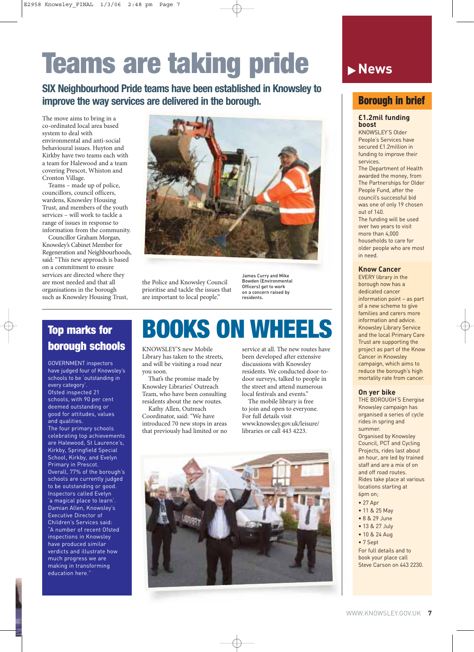# **Teams are taking pride**

**SIX Neighbourhood Pride teams have been established in Knowsley to improve the way services are delivered in the borough.**

The move aims to bring in a co-ordinated local area based system to deal with environmental and anti-social behavioural issues. Huyton and Kirkby have two teams each with a team for Halewood and a team covering Prescot, Whiston and Cronton Village.

Teams – made up of police, councillors, council officers, wardens, Knowsley Housing Trust, and members of the youth services – will work to tackle a range of issues in response to information from the community.

Councillor Graham Morgan, Knowsley's Cabinet Member for Regeneration and Neighbourhoods, said: "This new approach is based on a commitment to ensure services are directed where they are most needed and that all organisations in the borough such as Knowsley Housing Trust,



the Police and Knowsley Council prioritise and tackle the issues that are important to local people."

James Curry and Mike Bowden (Environmental Officers) get to work on a concern raised by residents.

### **Top marks for borough schools**

GOVERNMENT inspectors have judged four of Knowsley's schools to be 'outstanding in every category'. Ofsted inspected 21 schools, with 90 per cent deemed outstanding or good for attitudes, values and qualities. The four primary schools

celebrating top achievements are Halewood, St Laurence's, Kirkby, Springfield Special School, Kirkby, and Evelyn Primary in Prescot. Overall, 77% of the borough's schools are currently judged to be outstanding or good. Inspectors called Evelyn 'a magical place to learn'. Damian Allen, Knowsley's Executive Director of Children's Services said: "A number of recent Ofsted inspections in Knowsley have produced similar verdicts and illustrate how much progress we are making in transforming education here."

### **BOOKS ON WHEELS**

KNOWSLEY'S new Mobile Library has taken to the streets, and will be visiting a road near you soon.

That's the promise made by Knowsley Libraries' Outreach Team, who have been consulting residents about the new routes.

Kathy Allen, Outreach Coordinator, said: "We have introduced 70 new stops in areas that previously had limited or no

service at all. The new routes have been developed after extensive discussions with Knowsley residents. We conducted door-todoor surveys, talked to people in the street and attend numerous local festivals and events."

The mobile library is free to join and open to everyone. For full details visit www.knowsley.gov.uk/leisure/ libraries or call 443 4223.



### **News**

### **Borough in brief**

### **£1.2mil funding boost**

KNOWSLEY'S Older People's Services have secured £1.2million in funding to improve their services.

The Department of Health awarded the money, from The Partnerships for Older People Fund, after the council's successful bid was one of only 19 chosen out of 140.

The funding will be used over two years to visit more than  $4,000$ households to care for older people who are most in need.

### **Know Cancer**

EVERY library in the borough now has a dedicated cancer information point – as part of a new scheme to give families and carers more information and advice. Knowsley Library Service and the local Primary Care Trust are supporting the project as part of the Know Cancer in Knowsley campaign, which aims to reduce the borough's high mortality rate from cancer.

### **On yer bike**

THE BOROUGH'S Energise Knowsley campaign has organised a series of cycle rides in spring and summer. Organised by Knowsley Council, PCT and Cycling

Projects, rides last about an hour, are led by trained staff and are a mix of on and off road routes. Rides take place at various locations starting at 6pm on;

- 27 Apr
- 11 & 25 May
- 8 & 29 June
- 13 & 27 July
- 10 & 24 Aug
- 7 Sept

For full details and to book your place call Steve Carson on 443 2230.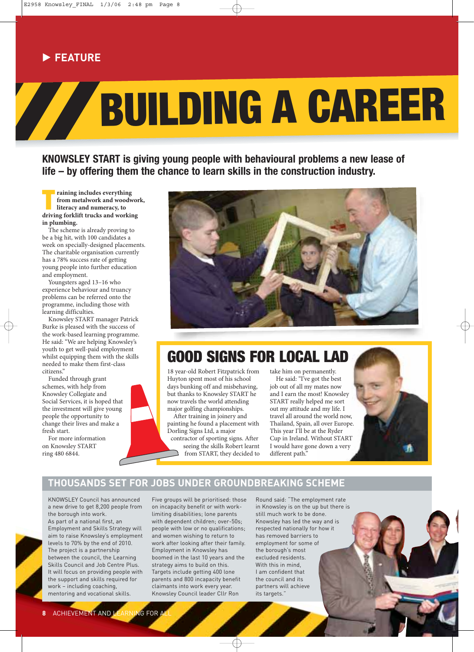### **FEATURE**

# **BUILDING A CAREER**

**KNOWSLEY START is giving young people with behavioural problems a new lease of life – by offering them the chance to learn skills in the construction industry.**

**The Training includes everything**<br> **The Training for the metalwork and woodworking forklift trucks and working raining includes everything from metalwork and woodwork, literacy and numeracy, to in plumbing.**

The scheme is already proving to be a big hit, with 100 candidates a week on specially-designed placements. The charitable organisation currently has a 78% success rate of getting young people into further education and employment.

Youngsters aged 13–16 who experience behaviour and truancy problems can be referred onto the programme, including those with learning difficulties.

Knowsley START manager Patrick Burke is pleased with the success of the work-based learning programme. He said: "We are helping Knowsley's youth to get well-paid employment whilst equipping them with the skills needed to make them first-class citizens."

Funded through grant schemes, with help from Knowsley Collegiate and Social Services, it is hoped that the investment will give young people the opportunity to change their lives and make a fresh start.

For more information on Knowsley START ring 480 6844.



### **GOOD SIGNS FOR LOCAL LAD**

18 year-old Robert Fitzpatrick from Huyton spent most of his school days bunking off and misbehaving, but thanks to Knowsley START he now travels the world attending major golfing championships.

After training in joinery and painting he found a placement with Dorling Signs Ltd, a major

contractor of sporting signs. After seeing the skills Robert learnt from START, they decided to take him on permanently.

He said: "I've got the best job out of all my mates now and I earn the most! Knowsley START really helped me sort out my attitude and my life. I travel all around the world now, Thailand, Spain, all over Europe. This year I'll be at the Ryder Cup in Ireland. Without START I would have gone down a very different path."



### **THOUSANDS SET FOR JOBS UNDER GROUNDBREAKING SCHEME**

KNOWSLEY Council has announced a new drive to get 8,200 people from the borough into work. As part of a national first, an Employment and Skills Strategy will aim to raise Knowsley's employment levels to 70% by the end of 2010. The project is a partnership between the council, the Learning Skills Council and Job Centre Plus. It will focus on providing people with the support and skills required for work – including coaching, mentoring and vocational skills.

Five groups will be prioritised: those on incapacity benefit or with worklimiting disabilities; lone parents with dependent children; over-50s; people with low or no qualifications; and women wishing to return to work after looking after their family. Employment in Knowsley has boomed in the last 10 years and the strategy aims to build on this. Targets include getting 400 lone parents and 800 incapacity benefit claimants into work every year. Knowsley Council leader Cllr Ron

Round said: "The employment rate in Knowsley is on the up but there is still much work to be done. Knowsley has led the way and is respected nationally for how it has removed barriers to employment for some of the borough's most excluded residents. With this in mind I am confident that the council and its partners will achieve its targets."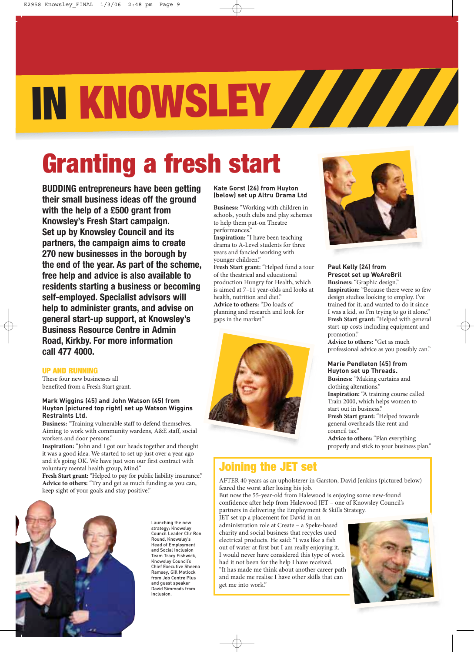# **IN KNOWSLEY**

# **Granting a fresh start**

**BUDDING entrepreneurs have been getting their small business ideas off the ground with the help of a £500 grant from Knowsley's Fresh Start campaign. Set up by Knowsley Council and its partners, the campaign aims to create 270 new businesses in the borough by the end of the year. As part of the scheme, free help and advice is also available to residents starting a business or becoming self-employed. Specialist advisors will help to administer grants, and advise on general start-up support, at Knowsley's Business Resource Centre in Admin Road, Kirkby. For more information call 477 4000.**

### **UP AND RUNNING**

These four new businesses all benefited from a Fresh Start grant.

#### **Mark Wiggins (45) and John Watson (45) from Huyton (pictured top right) set up Watson Wiggins Restraints Ltd.**

**Business:** "Training vulnerable staff to defend themselves. Aiming to work with community wardens, A&E staff, social workers and door persons."

**Inspiration:** "John and I got our heads together and thought it was a good idea. We started to set up just over a year ago and it's going OK. We have just won our first contract with voluntary mental health group, Mind."

Fresh Start grant: "Helped to pay for public liability insurance." **Advice to others:** "Try and get as much funding as you can, keep sight of your goals and stay positive."



Launching the new strategy: Knowsley Council Leader Cllr Ron Round, Knowsley's Head of Employment and Social Inclusion Team Tracy Fishwick, Knowsley Council's Chief Executive Sheena Ramsey, Gill Motlock from Job Centre Plus and guest speaker David Simmods from Inclusion.

### **Kate Gorst (26) from Huyton (below) set up Altru Drama Ltd**

**Business:** "Working with children in schools, youth clubs and play schemes to help them put-on Theatre performances."

**Inspiration:** "I have been teaching drama to A-Level students for three years and fancied working with younger children."

**Fresh Start grant:** "Helped fund a tour of the theatrical and educational production Hungry for Health, which is aimed at 7–11 year-olds and looks at health, nutrition and diet." **Advice to others:** "Do loads of planning and research and look for gaps in the market."





### **Paul Kelly (24) from Prescot set up WeAreBril Business:** "Graphic design."

**Inspiration:** "Because there were so few design studios looking to employ. I've trained for it, and wanted to do it since I was a kid, so I'm trying to go it alone." **Fresh Start grant:** "Helped with general start-up costs including equipment and promotion."

**Advice to others:** "Get as much professional advice as you possibly can."

### **Marie Pendleton (45) from Huyton set up Threads.**

**Business:** "Making curtains and clothing alterations." **Inspiration:** "A training course called

Train 2000, which helps women to start out in business."

**Fresh Start grant:** "Helped towards general overheads like rent and council tax."

**Advice to others:** "Plan everything properly and stick to your business plan."

### **Joining the JET set**

AFTER 40 years as an upholsterer in Garston, David Jenkins (pictured below) feared the worst after losing his job.

But now the 55-year-old from Halewood is enjoying some new-found confidence after help from Halewood JET – one of Knowsley Council's partners in delivering the Employment & Skills Strategy.

JET set up a placement for David in an administration role at Create – a Speke-based charity and social business that recycles used electrical products. He said: "I was like a fish out of water at first but I am really enjoying it. I would never have considered this type of work had it not been for the help I have received.

"It has made me think about another career path and made me realise I have other skills that can get me into work."

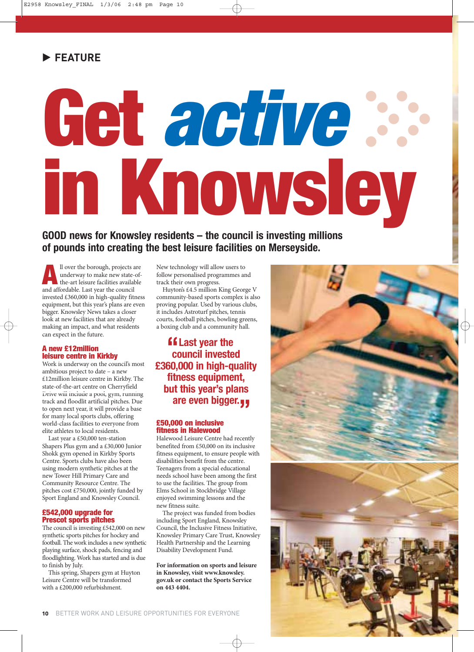# **Get active in Knowsley Property**

### **GOOD news for Knowsley residents – the council is investing millions of pounds into creating the best leisure facilities on Merseyside.**

**All over the borough, projects are<br>
underway to make new state-of-<br>
the-art leisure facilities available<br>
and affordable. Last vear the council** underway to make new state-ofand affordable. Last year the council invested £360,000 in high-quality fitness equipment, but this year's plans are even bigger. Knowsley News takes a closer look at new facilities that are already making an impact, and what residents can expect in the future.

### **A new £12million leisure centre in Kirkby**

Work is underway on the council's most ambitious project to date – a new £12million leisure centre in Kirkby. The state-of-the-art centre on Cherryfield Drive will include a pool, gym, running track and floodlit artificial pitches. Due to open next year, it will provide a base for many local sports clubs, offering world-class facilities to everyone from elite athletes to local residents.

Last year a £50,000 ten-station Shapers Plus gym and a £30,000 Junior Shokk gym opened in Kirkby Sports Centre. Sports clubs have also been using modern synthetic pitches at the new Tower Hill Primary Care and Community Resource Centre. The pitches cost £750,000, jointly funded by Sport England and Knowsley Council.

### **£542,000 upgrade for Prescot sports pitches**

The council is investing £542,000 on new synthetic sports pitches for hockey and football. The work includes a new synthetic playing surface, shock pads, fencing and floodlighting. Work has started and is due to finish by July.

This spring, Shapers gym at Huyton Leisure Centre will be transformed with a £200,000 refurbishment.

New technology will allow users to follow personalised programmes and track their own progress.

Huyton's £4.5 million King George V community-based sports complex is also proving popular. Used by various clubs, it includes Astroturf pitches, tennis courts, football pitches, bowling greens, a boxing club and a community hall.

### **Last year the council invester council invested £360,000 in high-quality fitness equipment, but this year's plans are even bigger. "**

### **£50,000 on inclusive fitness in Halewood**

Halewood Leisure Centre had recently benefited from £50,000 on its inclusive fitness equipment, to ensure people with disabilities benefit from the centre. Teenagers from a special educational needs school have been among the first to use the facilities. The group from Elms School in Stockbridge Village enjoyed swimming lessons and the new fitness suite.

The project was funded from bodies including Sport England, Knowsley Council, the Inclusive Fitness Initiative, Knowsley Primary Care Trust, Knowsley Health Partnership and the Learning Disability Development Fund.

**For information on sports and leisure in Knowsley, visit www.knowsley. gov.uk or contact the Sports Service on 443 4404.**

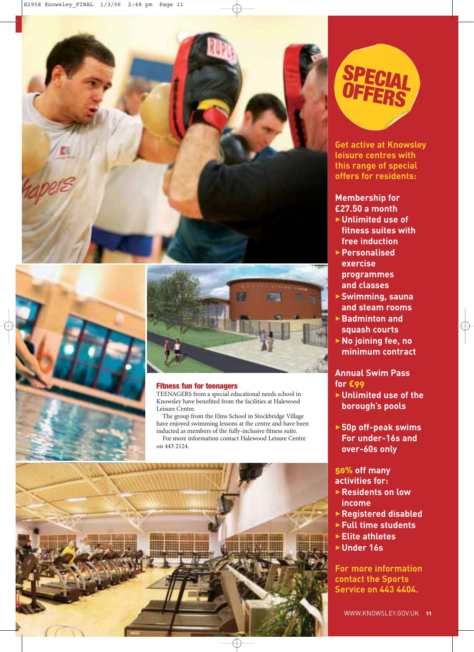





### **Fitness fun for teenagers**

TEENAGERS from a special educational needs school in Knowsley have benefited from the facilities at Halewood Leisure Centre.

The group from the Elms School in Stockbridge Village have enjoyed swimming lessons at the centre and have been inducted as members of the fully-inclusive fitness suite. For more information contact Halewood Leisure Centre on 443 2124.





**Get active at Knowsley leisure centres with this range of special offers for residents:**

### **Membership for £27.50 a month**

- 3**Unlimited use of fitness suites with free induction**
- 3**Personalised exercise programmes and classes**
- 3**Swimming, sauna and steam rooms**
- 3**Badminton and squash courts**
- 3**No joining fee, no minimum contract**

### **Annual Swim Pass for** £99

- 3**Unlimited use of the borough's pools**
- 3**50p off-peak swims For under-16s and over-60s only**

### 50% **off many activities for:**

- 3**Residents on low income**
- 3**Registered disabled**
- 3**Full time students**
- 3**Elite athletes**
- 3**Under 16s**

**For more information contact the Sports Service on 443 4404.**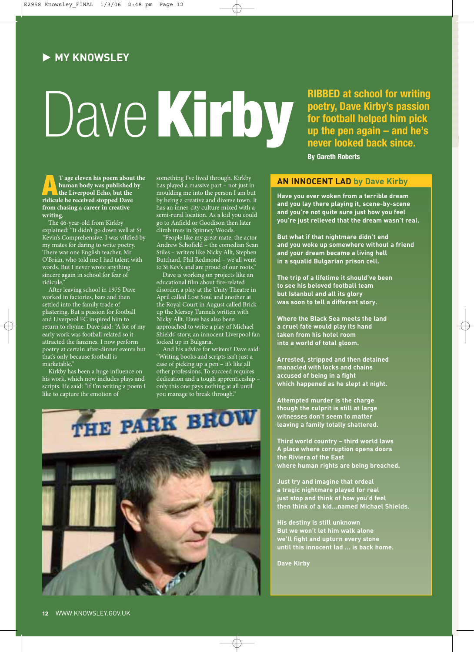### **MY KNOWSLEY**

# Dave**Kirby**

**RIBBED at school for writing poetry, Dave Kirby's passion for football helped him pick up the pen again – and he's never looked back since. By Gareth Roberts**

**A A T** age eleven his poem about the human body was published by the Liverpool Echo, but the ridicule he received stopped Dave **human body was published by ridicule he received stopped Dave from chasing a career in creative writing.**

The 46-year-old from Kirkby explained: "It didn't go down well at St Kevin's Comprehensive. I was vilified by my mates for daring to write poetry. There was one English teacher, Mr O'Brian, who told me I had talent with words. But I never wrote anything sincere again in school for fear of ridicule.

After leaving school in 1975 Dave worked in factories, bars and then settled into the family trade of plastering. But a passion for football and Liverpool FC inspired him to return to rhyme. Dave said: "A lot of my early work was football related so it attracted the fanzines. I now perform poetry at certain after-dinner events but that's only because football is marketable<sup>'</sup>

Kirkby has been a huge influence on his work, which now includes plays and scripts. He said: "If I'm writing a poem I like to capture the emotion of

something I've lived through. Kirkby has played a massive part – not just in moulding me into the person I am but by being a creative and diverse town. It has an inner-city culture mixed with a semi-rural location. As a kid you could go to Anfield or Goodison then later climb trees in Spinney Woods.

"People like my great mate, the actor Andrew Schofield – the comedian Sean Stiles – writers like Nicky Allt, Stephen Butchard, Phil Redmond – we all went to St Kev's and are proud of our roots."

Dave is working on projects like an educational film about fire-related disorder, a play at the Unity Theatre in April called Lost Soul and another at the Royal Court in August called Brickup the Mersey Tunnels written with Nicky Allt. Dave has also been approached to write a play of Michael Shields' story, an innocent Liverpool fan locked up in Bulgaria.

And his advice for writers? Dave said: "Writing books and scripts isn't just a case of picking up a pen – it's like all other professions. To succeed requires dedication and a tough apprenticeship – only this one pays nothing at all until you manage to break through."



**Have you ever woken from a terrible dream and you lay there playing it, scene-by-scene and you're not quite sure just how you feel you're just relieved that the dream wasn't real.**

**But what if that nightmare didn't end and you woke up somewhere without a friend and your dream became a living hell in a squalid Bulgarian prison cell.**

**The trip of a lifetime it should've been to see his beloved football team but Istanbul and all its glory was soon to tell a different story.**

**Where the Black Sea meets the land a cruel fate would play its hand taken from his hotel room into a world of total gloom.**

**Arrested, stripped and then detained manacled with locks and chains accused of being in a fight which happened as he slept at night.**

**Attempted murder is the charge though the culprit is still at large witnesses don't seem to matter leaving a family totally shattered.**

**Third world country – third world laws A place where corruption opens doors the Riviera of the East where human rights are being breached.**

**Just try and imagine that ordeal a tragic nightmare played for real just stop and think of how you'd feel then think of a kid...named Michael Shields.**

**His destiny is still unknown But we won't let him walk alone we'll fight and upturn every stone until this innocent lad ... is back home.**

**Dave Kirby**

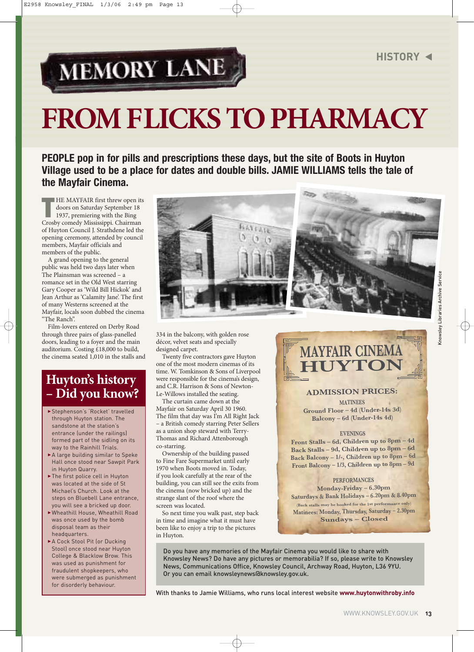## MEMORY LANE

# **FROM FLICKS TO PHARMACY**

**PEOPLE pop in for pills and prescriptions these days, but the site of Boots in Huyton Village used to be a place for dates and double bills. JAMIE WILLIAMS tells the tale of the Mayfair Cinema.**

**THE MAYFAIR first threw open it<br>
doors on Saturday September 18<br>
1937, premiering with the Bing<br>
Crosby comedy Mississippi. Chairman HE MAYFAIR first threw open its** doors on Saturday September 18 1937, premiering with the Bing of Huyton Council J. Strathdene led the opening ceremony, attended by council members, Mayfair officials and members of the public.

A grand opening to the general public was held two days later when The Plainsman was screened – a romance set in the Old West starring Gary Cooper as 'Wild Bill Hickok' and Jean Arthur as 'Calamity Jane'. The first of many Westerns screened at the Mayfair, locals soon dubbed the cinema "The Ranch".

Film-lovers entered on Derby Road through three pairs of glass-panelled doors, leading to a foyer and the main auditorium. Costing £18,000 to build, the cinema seated 1,010 in the stalls and

### **Huyton's history – Did you know?**

- Stephenson's 'Rocket' travelled through Huyton station. The sandstone at the station's entrance (under the railings) formed part of the sidling on its way to the Rainhill Trials.
- A large building similar to Speke Hall once stood near Sawpit Park in Huyton Quarry.
- $\blacktriangleright$  The first police cell in Huyton was located at the side of St Michael's Church. Look at the steps on Bluebell Lane entrance, you will see a bricked up door.
- 3Wheathill House, Wheathill Road was once used by the bomb disposal team as their headquarters.
- A Cock Stool Pit (or Ducking Stool) once stood near Huyton College & Blacklow Brow. This was used as punishment for fraudulent shopkeepers, who were submerged as punishment for disorderly behaviour.



334 in the balcony, with golden rose décor, velvet seats and specially designed carpet.

Twenty five contractors gave Huyton one of the most modern cinemas of its time. W. Tomkinson & Sons of Liverpool were responsible for the cinema's design, and C.R. Harrison & Sons of Newton-Le-Willows installed the seating.

The curtain came down at the Mayfair on Saturday April 30 1960. The film that day was I'm All Right Jack – a British comedy starring Peter Sellers as a union shop steward with Terry-Thomas and Richard Attenborough co-starring.

Ownership of the building passed to Fine Fare Supermarket until early 1970 when Boots moved in. Today, if you look carefully at the rear of the building, you can still see the exits from the cinema (now bricked up) and the strange slant of the roof where the screen was located.

So next time you walk past, step back in time and imagine what it must have been like to enjoy a trip to the pictures in Huyton.

### **MAYFAIR CINEMA HUYTON**

### **ADMISSION PRICES:**

**MATINEES Ground Floor – 4d (Under-14s 3d) Balcony – 6d (Under-14s 4d)**

### **EVENINGS**

**Front Stalls – 6d, Children up to 8pm – 4d Back Stalls – 9d, Children up to 8pm – 6d Back Balcony – 1/-, Children up to 8pm – 6d Front Balcony – 1/3, Children up to 8pm – 9d**

**PERFORMANCES Monday-Friday – 6.30pm Saturdays & Bank Holidays – 6.20pm & 8.40pm (Back stalls may be booked for the 1st performance only) Matinees: Monday, Thursday, Saturday – 2.30pm Sundays – Closed**

Do you have any memories of the Mayfair Cinema you would like to share with Knowsley News? Do have any pictures or memorabilia? If so, please write to Knowsley News, Communications Office, Knowsley Council, Archway Road, Huyton, L36 9YU. Or you can email knowsleynews@knowsley.gov.uk.

With thanks to Jamie Williams, who runs local interest website **www.huytonwithroby.info**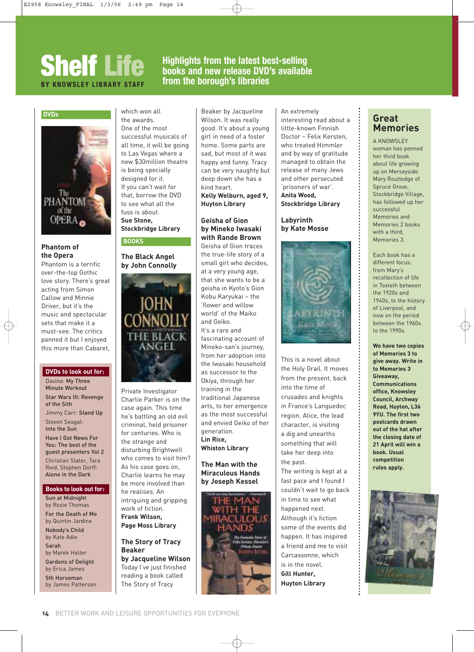### **Shelf Life Highlights from the latest best-selling**<br>BY KNOWSLEY LIBRARY STAFF from the borough's libraries **books and new release DVD's available from the borough's libraries**

### **DVDs**



### **Phantom of the Opera**

Phantom is a terrific over-the-top Gothic love story. There's great acting from Simon Callow and Minnie Driver, but it's the music and spectacular sets that make it a must-see. The critics panned it but I enjoyed this more than Cabaret,

### **DVDs to look out for:**

Davina: My Three Minute Workout Star Wars III: Revenge of the Sith Jimmy Carr: Stand Up Steven Seagal: Into the Sun Have I Got News For You: The best of the guest presenters Vol 2 Christian Slater, Tara Reid, Stephen Dorff: Alone in the Dark

### **Books to look out for:**

Sun at Midnight by Rosie Thomas For the Death of Me by Quintin Jardine Nobody's Child by Kate Adie Sarah by Marek Halter Gardens of Delight by Erica James 5th Horseman

by James Patterson

which won all the awards. One of the most successful musicals of all time, it will be going to Las Vegas where a new \$30million theatre is being specially designed for it. If you can't wait for that, borrow the DVD to see what all the fuss is about. **Sue Stone,** 

### **Stockbridge Library BOOKS**

### **The Black Angel by John Connolly**



Private Investigator Charlie Parker is on the case again. This time he's battling an old evil criminal, held prisoner for centuries. Who is the strange and disturbing Brightwell who comes to visit him? As his case goes on, Charlie learns he may be more involved than he realises. An intriguing and gripping work of fiction. **Frank Wilson, Page Moss Library**

### **The Story of Tracy Beaker**

**by Jacqueline Wilson** Today I've just finished reading a book called The Story of Tracy

Beaker by Jacqueline Wilson. It was really good. It's about a young girl in need of a foster home. Some parts are sad, but most of it was happy and funny. Tracy can be very naughty but deep down she has a kind heart.

### **Kelly Welburn, aged 9, Huyton Library**

### **Geisha of Gion by Mineko Iwasaki with Rande Brown**

Geisha of Gion traces the true-life story of a small girl who decides, at a very young age, that she wants to be a geisha in Kyoto's Gion Kobu Karyukai – the 'flower and willow world' of the Maiko and Geiko. It's a rare and fascinating account of Mineko-san's journey, from her adoption into the Iwasaki household as successor to the Okiya, through her training in the traditional Japanese arts, to her emergence as the most successful and envied Geiko of her generation. **Lin Rice, Whiston Library** 

### **The Man with the Miraculous Hands by Joseph Kessel**



### An extremely interesting read about a little-known Finnish Doctor – Felix Kersten, who treated Himmler and by way of gratitude managed to obtain the release of many Jews and other persecuted 'prisoners of war'. **Anita Wood, Stockbridge Library**

### **Labyrinth by Kate Mosse**



This is a novel about the Holy Grail. It moves from the present, back into the time of crusades and knights in France's Languedoc region. Alice, the lead character, is visiting a dig and unearths something that will take her deep into the past.

The writing is kept at a fast pace and I found I couldn't wait to go back in time to see what happened next. Although it's fiction some of the events did happen. It has inspired a friend and me to visit Carcassonne, which is in the novel. **Gill Hunter, Huyton Library**

### **Great Memories**

A KNOWSLEY woman has penned her third book about life growing up on Merseyside. Mary Routledge of Spruce Grove, Stockbridge Village, has followed up her successful Memories and Memories 2 books with a third Memories 3.

Each book has a different focus: from Mary's recollection of life in Toxteth between the 1920s and 1940s, to the history of Liverpool, and now on the period between the 1960s to the 1990s.

**We have two copies of Memories 3 to give away. Write in to Memories 3 Giveaway, Communications office, Knowsley Council, Archway Road, Huyton, L36 9YU. The first two postcards drawn out of the hat after the closing date of 21 April will win a book. Usual competition rules apply.**

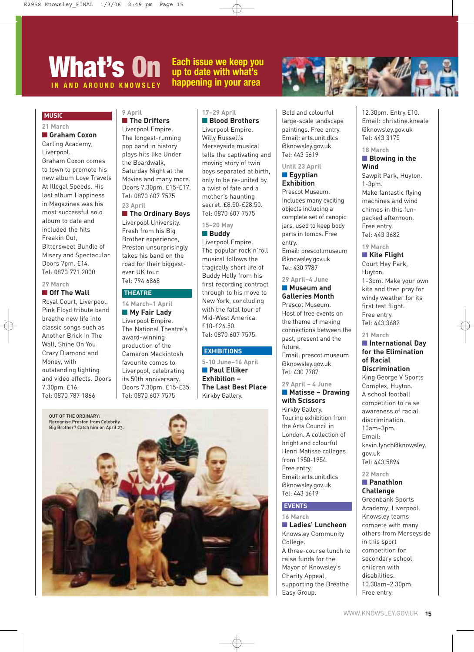### **What's On Each issue we keep you up to date with what's AND AROUND KNOWSLEY happening in your area**



### **MUSIC**

**21 March** 

### ■ **Graham Coxon**

Carling Academy, Liverpool. Graham Coxon comes to town to promote his new album Love Travels At Illegal Speeds. His last album Happiness in Magazines was his most successful solo album to date and included the hits Freakin Out, Bittersweet Bundle of Misery and Spectacular. Doors 7pm. £14. Tel: 0870 771 2000

### **29 March**  ■ **Off The Wall**

Royal Court, Liverpool. Pink Floyd tribute band breathe new life into classic songs such as Another Brick In The Wall, Shine On You Crazy Diamond and Money, with outstanding lighting and video effects. Doors 7.30pm. £16. Tel: 0870 787 1866

#### **9 April**  ■ **The Drifters**

Liverpool Empire. The longest-running pop band in history plays hits like Under the Boardwalk, Saturday Night at the Movies and many more. Doors 7.30pm. £15-£17. Tel: 0870 607 7575 **23 April** 

### ■ **The Ordinary Boys**

Liverpool University. Fresh from his Big Brother experience, Preston unsurprisingly takes his band on the road for their biggestever UK tour. Tel: 794 6868

### **THEATRE**

**14 March–1 April** 

■ My Fair Lady Liverpool Empire. The National Theatre's award-winning production of the Cameron Mackintosh favourite comes to Liverpool, celebrating its 50th anniversary. Doors 7.30pm. £15-£35. Tel: 0870 607 7575

### **17–29 April**

■ **Blood Brothers** Liverpool Empire. Willy Russell's Merseyside musical tells the captivating and moving story of twin boys separated at birth, only to be re-united by a twist of fate and a mother's haunting secret. £8.50-£28.50. Tel: 0870 607 7575

### **15–20 May**

### ■ **Buddy** Liverpool Empire. The popular rock'n'roll musical follows the tragically short life of Buddy Holly from his first recording contract through to his move to New York, concluding with the fatal tour of Mid-West America.

### **EXHIBITIONS**

£10-£26.50. Tel: 0870 607 7575.

**5-10 June–16 April** ■ **Paul Elliker Exhibition – The Last Best Place** Kirkby Gallery.



Bold and colourful large-scale landscape paintings. Free entry. Email: arts.unit.dlcs @knowsley.gov.uk Tel: 443 5619

### **Until 23 April**  ■ **Egyptian**

### **Exhibition** Prescot Museum.

Includes many exciting objects including a complete set of canopic jars, used to keep body parts in tombs. Free entry. Email: prescot.museum @knowsley.gov.uk Tel: 430 7787

#### **29 April–4 June** ■ **Museum and**

**Galleries Month** Prescot Museum. Host of free events on the theme of making connections between the past, present and the future. Email: prescot.museum @knowsley.gov.uk Tel: 430 7787

### **29 April – 4 June**

■ **Matisse – Drawing with Scissors** Kirkby Gallery. Touring exhibition from the Arts Council in London. A collection of bright and colourful Henri Matisse collages from 1950-1954. Free entry. Email: arts.unit.dlcs @knowsley.gov.uk Tel: 443 5619

### **EVENTS**

**16 March**  ■ **Ladies' Luncheon** Knowsley Community College. A three-course lunch to raise funds for the Mayor of Knowsley's Charity Appeal, supporting the Breathe Easy Group.

12.30pm. Entry £10. Email: christine.kneale @knowsley.gov.uk Tel: 443 3175

### **18 March**

### ■ **Blowing in the Wind**

Sawpit Park, Huyton. 1-3pm. Make fantastic flying machines and wind chimes in this funpacked afternoon. Free entry. Tel: 443 3682

### **19 March**

### ■ **Kite Flight** Court Hey Park, Huyton. 1–3pm. Make your own kite and then pray for windy weather for its first test flight. Free entry. Tel: 443 3682

### **21 March**

### ■ **International Day for the Elimination of Racial Discrimination**

King George V Sports Complex, Huyton. A school football competition to raise awareness of racial discrimination. 10am–3pm. Email: kevin.lynch@knowsley. gov.uk Tel: 443 5894

### **22 March**

### ■ **Panathlon Challenge**

Greenbank Sports Academy, Liverpool. Knowsley teams compete with many others from Merseyside in this sport competition for secondary school children with disabilities. 10.30am–2.30pm. Free entry.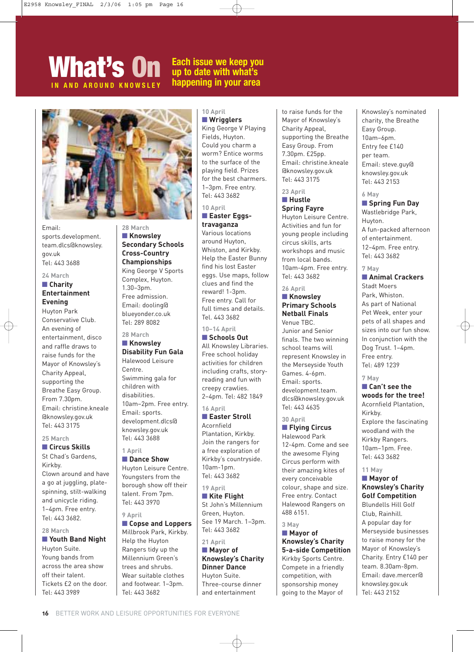### **What's On Each issue we keep you up to date with what's ND AROUND KNOWSLEY happening in your area**



**28 March** ■ **Knowsley**

**Secondary Schools Cross-Country Championships** King George V Sports Complex, Huyton. 1.30–3pm. Free admission. Email: dooling@ blueyonder.co.uk Tel: 289 8082 **28 March**  ■ **Knowsley**

**Disability Fun Gala** Halewood Leisure

Swimming gala for children with disabilities.

Email: sports. development.dlcs@ knowsley.gov.uk Tel: 443 3688

■ **Dance Show** Huyton Leisure Centre. Youngsters from the borough show off their talent. From 7pm. Tel: 443 3970

■ **Copse and Loppers** Millbrook Park, Kirkby. Help the Huyton Rangers tidy up the Millennium Green's trees and shrubs. Wear suitable clothes and footwear. 1–3pm.

10am–2pm. Free entry.

Centre.

**1 April** 

**9 April** 

### Email: sports.development. team.dlcs@knowsley. gov.uk Tel: 443 3688

### **24 March**

### ■ **Charity Entertainment Evening**

Huyton Park Conservative Club. An evening of entertainment, disco and raffle draws to raise funds for the Mayor of Knowsley's Charity Appeal, supporting the Breathe Easy Group. From 7.30pm. Email: christine.kneale @knowsley.gov.uk Tel: 443 3175

#### **25 March**  ■ **Circus Skills**

St Chad's Gardens, Kirkby. Clown around and have a go at juggling, platespinning, stilt-walking and unicycle riding. 1–4pm. Free entry. Tel: 443 3682.

### **28 March**

### ■ **Youth Band Night** Huyton Suite. Young bands from across the area show off their talent. Tickets £2 on the door. Tel: 443 3989

### **10 April**  ■ **Wrigglers**

King George V Playing Fields, Huyton. Could you charm a worm? Entice worms to the surface of the playing field. Prizes for the best charmers. 1–3pm. Free entry. Tel: 443 3682

### **10 April**

### ■ **Easter Eggstravaganza**

Various locations around Huyton, Whiston, and Kirkby. Help the Easter Bunny find his lost Easter eggs. Use maps, follow clues and find the reward! 1-3pm. Free entry. Call for full times and details. Tel. 443 3682

**10–14 April**

### ■ **Schools Out**

All Knowsley Libraries. Free school holiday activities for children including crafts, storyreading and fun with creepy crawlies. 2–4pm. Tel: 482 1849

### **16 April**

### ■ **Easter Stroll** Acornfield

Plantation, Kirkby. Join the rangers for a free exploration of Kirkby's countryside. 10am-1pm. Tel: 443 3682

### **19 April**

■ **Kite Flight** St John's Millennium Green, Huyton. See 19 March. 1–3pm. Tel: 443 3682

### **21 April**

### ■ **Mayor** of **Knowsley's Charity Dinner Dance** Huyton Suite. Three-course dinner and entertainment

to raise funds for the Mayor of Knowsley's Charity Appeal, supporting the Breathe Easy Group. From 7.30pm. £25pp. Email: christine.kneale @knowsley.gov.uk Tel: 443 3175

### **23 April**  ■ **Hustle Spring Fayre**

Huyton Leisure Centre. Activities and fun for young people including circus skills, arts workshops and music from local bands. 10am-4pm. Free entry. Tel: 443 3682

### **26 April**

### ■ **Knowsley Primary Schools Netball Finals** Venue TBC.

Junior and Senior finals. The two winning school teams will represent Knowsley in the Merseyside Youth Games. 4-6pm. Email: sports. development.team. dlcs@knowsley.gov.uk Tel: 443 4635

### **30 April** ■ **Flying Circus**

Halewood Park 12-4pm. Come and see the awesome Flying Circus perform with their amazing kites of every conceivable colour, shape and size. Free entry. Contact Halewood Rangers on 488 6151.

### **3 May**

■ **Mayor of Knowsley's Charity 5-a-side Competition** Kirkby Sports Centre. Compete in a friendly competition, with sponsorship money going to the Mayor of

### Knowsley's nominated charity, the Breathe Easy Group. 10am–6pm. Entry fee £140 per team. Email: steve.guy@ knowsley.gov.uk Tel: 443 2153

### **6 May**

### ■ **Spring Fun Day** Wastlebridge Park, Huyton. A fun-packed afternoon of entertainment. 12–4pm. Free entry. Tel: 443 3682

### **7 May**

■ **Animal Crackers** Stadt Moers Park, Whiston. As part of National Pet Week, enter your pets of all shapes and sizes into our fun show. In conjunction with the Dog Trust. 1–4pm. Free entry. Tel: 489 1239

### **7 May**

### ■ Can't see the **woods for the tree!**

Acornfield Plantation, Kirkby. Explore the fascinating woodland with the Kirkby Rangers. 10am–1pm. Free. Tel: 443 3682

### **11 May**

### ■ **Mayor of Knowsley's Charity Golf Competition**

Blundells Hill Golf Club, Rainhill. A popular day for Merseyside businesses to raise money for the Mayor of Knowsley's Charity. Entry £140 per team. 8.30am-8pm. Email: dave.mercer@ knowsley.gov.uk Tel: 443 2152

Tel: 443 3682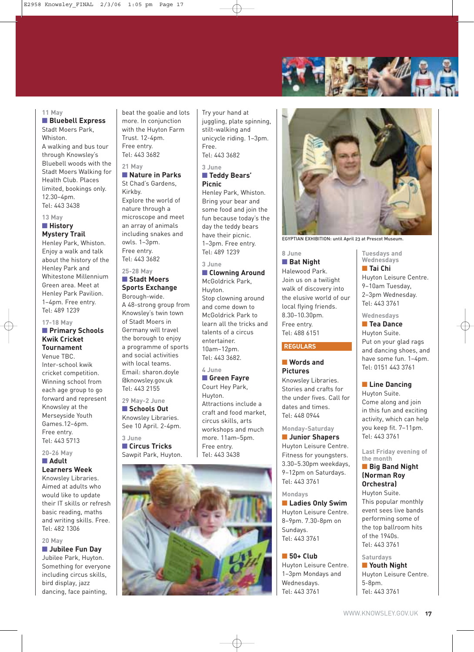

#### **11 May**

### ■ **Bluebell Express** Stadt Moers Park,

Whiston. A walking and bus tour through Knowsley's Bluebell woods with the Stadt Moers Walking for Health Club. Places limited, bookings only. 12.30–4pm. Tel: 443 3438

### **13 May** ■ **History Mystery Trail**

Henley Park, Whiston. Enjoy a walk and talk about the history of the Henley Park and Whitestone Millennium Green area. Meet at Henley Park Pavilion. 1–4pm. Free entry. Tel: 489 1239

### **17-18 May**

### ■ **Primary Schools Kwik Cricket Tournament**

Venue TBC. Inter-school kwik cricket competition. Winning school from each age group to go forward and represent Knowsley at the Merseyside Youth Games.12–6pm. Free entry. Tel: 443 5713

#### **20-26 May** ■ **Adult**

### **Learners Week**

Knowsley Libraries. Aimed at adults who would like to update their IT skills or refresh basic reading, maths and writing skills. Free. Tel: 482 1306

#### **20 May**

■ **Jubilee Fun Day** 

Jubilee Park, Huyton. Something for everyone including circus skills, bird display, jazz dancing, face painting,

beat the goalie and lots more. In conjunction with the Huyton Farm Trust. 12-4pm. Free entry. Tel: 443 3682

### **21 May**  ■ **Nature in Parks** St Chad's Gardens,

Kirkby. Explore the world of nature through a microscope and meet an array of animals including snakes and owls. 1–3pm. Free entry. Tel: 443 3682

### **25-28 May** ■ **Stadt Moers**

### **Sports Exchange** Borough-wide.

A 48-strong group from Knowsley's twin town of Stadt Moers in Germany will travel the borough to enjoy a programme of sports and social activities with local teams. Email: sharon.doyle @knowsley.gov.uk Tel: 443 2155

**29 May-2 June**

■ **Schools Out** Knowsley Libraries. See 10 April. 2-4pm.

**3 June** ■ **Circus Tricks** Sawpit Park, Huyton.

Try your hand at juggling, plate spinning, stilt-walking and unicycle riding. 1–3pm. Free. Tel: 443 3682

**3 June** ■ **Teddy Bears' Picnic**

Henley Park, Whiston. Bring your bear and some food and join the fun because today's the day the teddy bears have their picnic. 1–3pm. Free entry. Tel: 489 1239

### **3 June**

■ **Clowning Around** McGoldrick Park, Huyton. Stop clowning around and come down to McGoldrick Park to learn all the tricks and talents of a circus entertainer. 10am–12pm. Tel: 443 3682.

### **4 June**

### ■ **Green Fayre** Court Hey Park, Huyton. Attractions include a craft and food market, circus skills, arts workshops and much more. 11am–5pm. Free entry. Tel: 443 3438



EGYPTIAN EXHIBITION: until April 23 at Prescot Museum.

### **8 June** ■ **Bat Night**

Halewood Park. Join us on a twilight walk of discovery into the elusive world of our local flying friends. 8.30–10.30pm. Free entry. Tel: 488 6151

### **REGULARS**

### ■ **Words and Pictures** Knowsley Libraries.

Stories and crafts for the under fives. Call for dates and times. Tel: 448 0944

### **Monday-Saturday**

■ **Junior Shapers** Huyton Leisure Centre. Fitness for youngsters. 3.30–5.30pm weekdays, 9–12pm on Saturdays. Tel: 443 3761

#### **Mondays**

■ **Ladies Only Swim** Huyton Leisure Centre. 8–9pm. 7.30-8pm on Sundays. Tel: 443 3761

### ■ **50+ Club**

Huyton Leisure Centre. 1–3pm Mondays and Wednesdays. Tel: 443 3761

**Tuesdays and Wednesdays**

■ **Tai Chi**

Huyton Leisure Centre. 9–10am Tuesday, 2–3pm Wednesday. Tel: 443 3761

### **Wednesdays**

■ **Tea Dance** Huyton Suite. Put on your glad rags and dancing shoes, and have some fun. 1–4pm. Tel: 0151 443 3761

### ■ Line Dancing

Huyton Suite. Come along and join in this fun and exciting activity, which can help you keep fit. 7–11pm. Tel: 443 3761

**Last Friday evening of the month**

### ■ **Big Band Night (Norman Roy Orchestra)**

Huyton Suite. This popular monthly event sees live bands performing some of the top ballroom hits of the 1940s. Tel: 443 3761

### **Saturdays**

■ **Youth Night** Huyton Leisure Centre. 5-8pm. Tel: 443 3761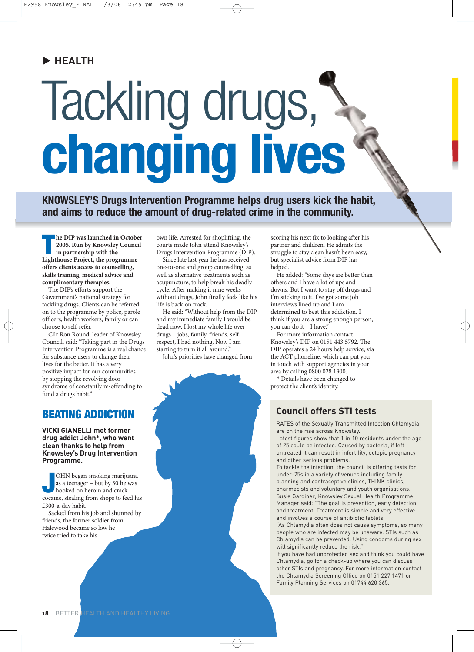### **HEALTH**

# Tackling drugs, **changing lives**

**KNOWSLEY'S Drugs Intervention Programme helps drug users kick the habit, and aims to reduce the amount of drug-related crime in the community.**

**The DIP was launched in Octob**<br> **The 2005. Run by Knowsley Counce in partnership with the Lighthouse Project, the programme he DIP was launched in October 2005. Run by Knowsley Council in partnership with the offers clients access to counselling, skills training, medical advice and complimentary therapies.** 

The DIP's efforts support the Government's national strategy for tackling drugs. Clients can be referred on to the programme by police, parole officers, health workers, family or can choose to self-refer.

Cllr Ron Round, leader of Knowsley Council, said: "Taking part in the Drugs Intervention Programme is a real chance for substance users to change their lives for the better. It has a very positive impact for our communities by stopping the revolving door syndrome of constantly re-offending to fund a drugs habit."

### **BEATING ADDICTION**

**VICKI GIANELLI met former drug addict John\*, who went clean thanks to help from Knowsley's Drug Intervention Programme.**

OHN began smoking marijuana<br>
as a teenager – but by 30 he was<br>
hooked on heroin and crack<br>
cocaine, stealing from shops to feed his OHN began smoking marijuana as a teenager – but by 30 he was hooked on heroin and crack £300-a-day habit.

Sacked from his job and shunned by friends, the former soldier from Halewood became so low he twice tried to take his

own life. Arrested for shoplifting, the courts made John attend Knowsley's Drugs Intervention Programme (DIP).

Since late last year he has received one-to-one and group counselling, as well as alternative treatments such as acupuncture, to help break his deadly cycle. After making it nine weeks without drugs, John finally feels like his life is back on track.

He said: "Without help from the DIP and my immediate family I would be dead now. I lost my whole life over drugs – jobs, family, friends, selfrespect, I had nothing. Now I am starting to turn it all around."

John's priorities have changed from

scoring his next fix to looking after his partner and children. He admits the struggle to stay clean hasn't been easy, but specialist advice from DIP has helped.

He added: "Some days are better than others and I have a lot of ups and downs. But I want to stay off drugs and I'm sticking to it. I've got some job interviews lined up and I am determined to beat this addiction. I think if you are a strong enough person, you can do it – I have."

For more information contact Knowsley's DIP on 0151 443 5792. The DIP operates a 24 hours help service, via the ACT phoneline, which can put you in touch with support agencies in your area by calling 0800 028 1300.

\* Details have been changed to protect the client's identity.

### **Council offers STI tests**

RATES of the Sexually Transmitted Infection Chlamydia are on the rise across Knowsley.

Latest figures show that 1 in 10 residents under the age of 25 could be infected. Caused by bacteria, if left untreated it can result in infertility, ectopic pregnancy and other serious problems.

To tackle the infection, the council is offering tests for under-25s in a variety of venues including family planning and contraceptive clinics, THINK clinics, pharmacists and voluntary and youth organisations. Susie Gardiner, Knowsley Sexual Health Programme Manager said: "The goal is prevention, early detection and treatment. Treatment is simple and very effective and involves a course of antibiotic tablets.

"As Chlamydia often does not cause symptoms, so many people who are infected may be unaware. STIs such as Chlamydia can be prevented. Using condoms during sex will significantly reduce the risk."

If you have had unprotected sex and think you could have Chlamydia, go for a check-up where you can discuss other STIs and pregnancy. For more information contact the Chlamydia Screening Office on 0151 227 1471 or Family Planning Services on 01744 620 365.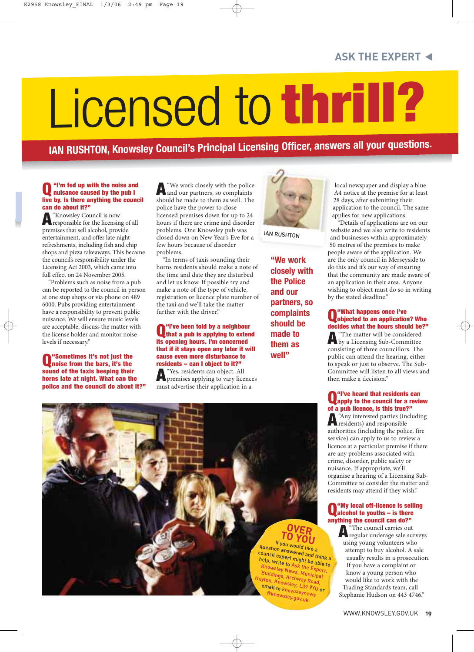# Licensed to **thrill?**

**IAN RUSHTON, Knowsley Council's Principal Licensing Officer, answers all your questions.**

### **Q"I'm fed up with the noise and nuisance caused by the pub I live by. Is there anything the council**

**can do about it?"**<br>**A** "Knowsley Council is now **A**"Knowsley Council is now responsible for the licensing of all premises that sell alcohol, provide entertainment, and offer late night refreshments, including fish and chip shops and pizza takeaways. This became the council's responsibility under the Licensing Act 2003, which came into full effect on 24 November 2005.

"Problems such as noise from a pub can be reported to the council in person at one stop shops or via phone on 489 6000. Pubs providing entertainment have a responsibility to prevent public nuisance. We will ensure music levels are acceptable, discuss the matter with the license holder and monitor noise levels if necessary."

**Q"Sometimes it's not just the noise from the bars, it's the sound of the taxis beeping their horns late at night. What can the police and the council do about it?"**

**A** "We work closely with the police"<br>and our partners, so complaints should be made to them as well. The police have the power to close licensed premises down for up to 24 hours if there are crime and disorder problems. One Knowsley pub was closed down on New Year's Eve for a few hours because of disorder problems.

"In terms of taxis sounding their horns residents should make a note of the time and date they are disturbed and let us know. If possible try and make a note of the type of vehicle, registration or licence plate number of the taxi and we'll take the matter further with the driver."

### **Q** "I've been told by a neighbour"<br>
that a pub is applying to extend **its opening hours. I'm concerned that if it stays open any later it will cause even more disturbance to residents – can I object to it?"**<br>**A** "Yes, residents can object. All

**A**"Yes, residents can object. All premises applying to vary licences must advertise their application in a



**IAN RUSHTON** 

**"We work closely with the Police and our partners, so complaints should be made to them as well"**

local newspaper and display a blue A4 notice at the premise for at least 28 days, after submitting their application to the council. The same applies for new applications.

"Details of applications are on our website and we also write to residents and businesses within approximately 50 metres of the premises to make people aware of the application. We are the only council in Merseyside to do this and it's our way of ensuring that the community are made aware of an application in their area. Anyone wishing to object must do so in writing by the stated deadline."

**Q"What happens once I've objected to an application? Who decides what the hours should be?"**<br>**A** "The matter will be considered **A**"The matter will be considered by a Licensing Sub-Committee consisting of three councillors. The public can attend the hearing, either to speak or just to observe. The Sub-Committee will listen to all views and then make a decision."

### **Q** "I've heard that residents can<br>apply to the council for a review

**of a pub licence, is this true?"**<br>A "Any interested parties (including **A**"Any interested parties (including residents) and responsible authorities (including the police, fire service) can apply to us to review a licence at a particular premise if there are any problems associated with crime, disorder, public safety or nuisance. If appropriate, we'll organise a hearing of a Licensing Sub-Committee to consider the matter and residents may attend if they wish."

### **Q"My local off-licence is selling alcohol to youths – is there anything the council can do?"**

**A**"The council carries out regular underage sale surveys using young volunteers who attempt to buy alcohol. A sale usually results in a prosecution. If you have a complaint or know a young person who would like to work with the Trading Standards team, call Stephanie Hudson on 443 4746."



WWW.KNOWSLEY.GOV.UK **19**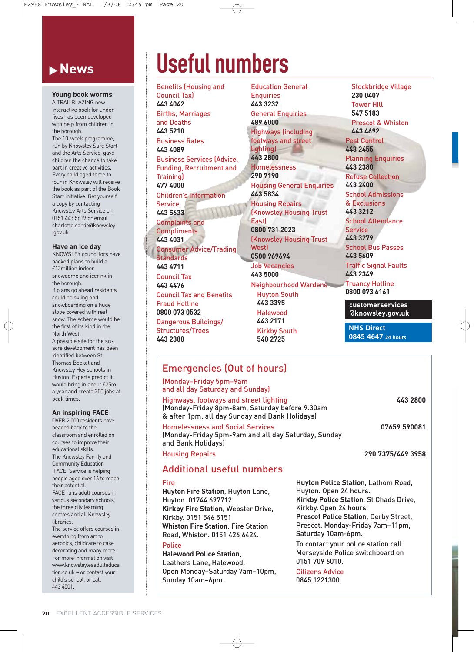### **News**

### **Young book worms**

A TRAILBLAZING new interactive book for underfives has been developed with help from children in the borough.

The 10-week programme, run by Knowsley Sure Start and the Arts Service, gave children the chance to take part in creative activities. Every child aged three to four in Knowsley will receive the book as part of the Book Start initiative. Get yourself a copy by contacting Knowsley Arts Service on 0151 443 5619 or email charlotte.corrie@knowsley .gov.uk

### **Have an ice day**

KNOWSLEY councillors have backed plans to build a £12million indoor snowdome and icerink in the borough. If plans go ahead residents could be skiing and snowboarding on a huge slope covered with real snow. The scheme would be the first of its kind in the North West. A possible site for the six-

acre development has been identified between St Thomas Becket and Knowsley Hey schools in Huyton. Experts predict it would bring in about £25m a year and create 300 jobs at peak times.

### **An inspiring FACE**

OVER 2,000 residents have headed back to the classroom and enrolled on courses to improve their educational skills. The Knowsley Family and Community Education (FACE) Service is helping people aged over 16 to reach their potential. FACE runs adult courses in various secondary schools, the three city learning centres and all Knowsley **libraries** The service offers courses in everything from art to aerobics, childcare to cake

decorating and many more. For more information visit www.knowsleyleaadulteduca tion.co.uk – or contact your child's school, or call 443 4501.

## **Useful numbers**

Benefits (Housing and Council Tax) **443 4042** Births, Marriages and Deaths **443 5210** Business Rates **443 4089** Business Services (Advice, Funding, Recruitment and **Training 477 4000** Children's Information Service **443 5633** Complaints and **Compliments 443 4031** Consumer Advice/Trading **Standards 443 4711** Council Tax **443 4476** Council Tax and Benefits Fraud Hotline **0800 073 0532** Dangerous Buildings/ Structures/Trees **443 2380**

Education General **Enquiries 443 3232** General Enquiries **489 6000** Highways (including footways and street lighting) **443 2800** Homelessness **290 7190** Housing General Enquiries **443 5834** Housing Repairs (Knowsley Housing Trust **East**) **0800 731 2023** (Knowsley Housing Trust West) **0500 969694** Job Vacancies **443 5000** Neighbourhood Wardens Huyton South **443 3395** Halewood **443 2171** Kirkby South **548 2725**

Stockbridge Village **230 0407** Tower Hill **547 5183** Prescot & Whiston **443 4692** Pest Control **443 2455** Planning Enquiries **443 2380** Refuse Collection **443 2400** School Admissions & Exclusions **443 3212** School Attendance Service **443 3279** School Bus Passes **443 5609** Traffic Signal Faults **443 2349** Truancy Hotline **0800 073 6161 customerservices**

**@knowsley.gov.uk**

**NHS Direct 0845 4647 24 hours**

### Emergencies (Out of hours)

(Monday–Friday 5pm–9am and all day Saturday and Sunday)

Highways, footways and street lighting **443 2800** (Monday-Friday 8pm-8am, Saturday before 9.30am & after 1pm, all day Sunday and Bank Holidays)

Homelessness and Social Services **07659 590081** (Monday-Friday 5pm-9am and all day Saturday, Sunday and Bank Holidays)

Housing Repairs **290 7375/449 3958**

### Additional useful numbers

### Fire

**Huyton Fire Station**, Huyton Lane, Huyton. 01744 697712 **Kirkby Fire Station**, Webster Drive, Kirkby. 0151 546 5151 **Whiston Fire Station**, Fire Station Road, Whiston. 0151 426 6424.

### **Police**

**Halewood Police Station**, Leathers Lane, Halewood. Open Monday–Saturday 7am–10pm, Sunday 10am–6pm.

**Huyton Police Station**, Lathom Road, Huyton. Open 24 hours. **Kirkby Police Station**, St Chads Drive, Kirkby. Open 24 hours. **Prescot Police Station**, Derby Street, Prescot. Monday-Friday 7am–11pm, Saturday 10am-6pm.

To contact your police station call Merseyside Police switchboard on 0151 709 6010.

Citizens Advice 0845 1221300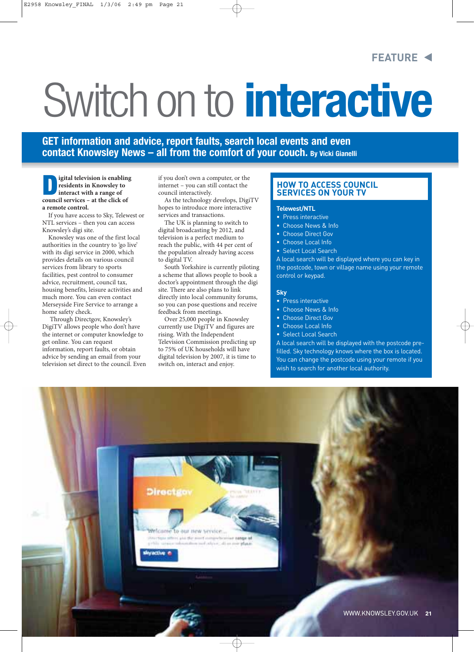### **FEATURE**

# Switch on to **interactive**

**GET information and advice, report faults, search local events and even contact Knowsley News – all from the comfort of your couch. By Vicki Gianelli**

**Digital television is enabling residents in Knowsley to interact with a range of council services – at the click of a remote control.** 

If you have access to Sky, Telewest or NTL services – then you can access Knowsley's digi site.

Knowsley was one of the first local authorities in the country to 'go live' with its digi service in 2000, which provides details on various council services from library to sports facilities, pest control to consumer advice, recruitment, council tax, housing benefits, leisure activities and much more. You can even contact Merseyside Fire Service to arrange a home safety check.

Through Directgov, Knowsley's DigiTV allows people who don't have the internet or computer knowledge to get online. You can request information, report faults, or obtain advice by sending an email from your television set direct to the council. Even if you don't own a computer, or the internet – you can still contact the council interactively.

As the technology develops, DigiTV hopes to introduce more interactive services and transactions.

The UK is planning to switch to digital broadcasting by 2012, and television is a perfect medium to reach the public, with 44 per cent of the population already having access to digital TV.

South Yorkshire is currently piloting a scheme that allows people to book a doctor's appointment through the digi site. There are also plans to link directly into local community forums, so you can pose questions and receive feedback from meetings.

Over 25,000 people in Knowsley currently use DigiTV and figures are rising. With the Independent Television Commission predicting up to 75% of UK households will have digital television by 2007, it is time to switch on, interact and enjoy.

### **HOW TO ACCESS COUNCIL SERVICES ON YOUR TV**

#### **Telewest/NTL**

- Press interactive
- Choose News & Info
- Choose Direct Gov
- Choose Local Info
- Select Local Search

A local search will be displayed where you can key in the postcode, town or village name using your remote control or keypad.

### **Sky**

- Press interactive
- Choose News & Info
- Choose Direct Gov
- Choose Local Info
- Select Local Search

A local search will be displayed with the postcode prefilled. Sky technology knows where the box is located. You can change the postcode using your remote if you wish to search for another local authority.

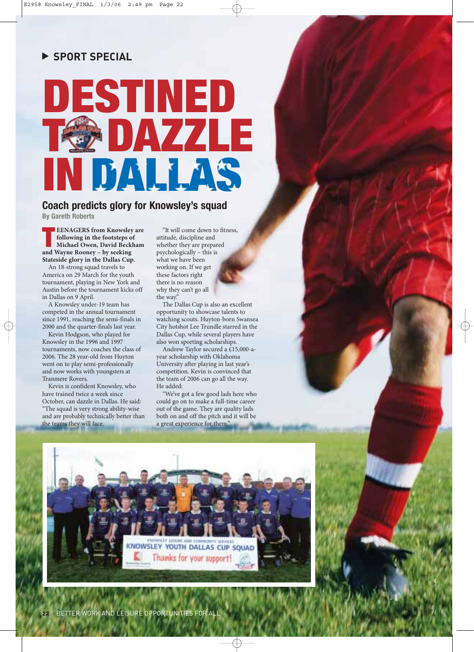#### $\blacktriangleright$ **SPORT SPECIAL**



### **Coach predicts glory for Knowsley's squad**

**By Gareth Roberts**

**EENAGERS from Knowsle<br>
following in the footsteps c<br>
Michael Owen, David Beck<br>
and Wayne Rooney – by seeking EENAGERS from Knowsley are following in the footsteps of Michael Owen, David Beckham Stateside glory in the Dallas Cup.**

An 18-strong squad travels to America on 29 March for the youth tournament, playing in New York and Austin before the tournament kicks off in Dallas on 9 April.

A Knowsley under-19 team has competed in the annual tournament since 1991, reaching the semi-finals in 2000 and the quarter-finals last year.

Kevin Hodgson, who played for Knowsley in the 1996 and 1997 tournaments, now coaches the class of 2006. The 28 year-old from Huyton went on to play semi-professionally and now works with youngsters at Tranmere Rovers.

Kevin is confident Knowsley, who have trained twice a week since October, can dazzle in Dallas. He said: "The squad is very strong ability-wise and are probably technically better than the teams they will face.

"It will come down to fitness, attitude, discipline and whether they are prepared psychologically – this is what we have been working on. If we get these factors right there is no reason why they can't go all the way.

The Dallas Cup is also an excellent opportunity to showcase talents to watching scouts. Huyton-born Swansea City hotshot Lee Trundle starred in the Dallas Cup, while several players have also won sporting scholarships.

Andrew Taylor secured a £15,000-ayear scholarship with Oklahoma University after playing in last year's competition. Kevin is convinced that the team of 2006 can go all the way. He added:

"We've got a few good lads here who could go on to make a full-time career out of the game. They are quality lads both on and off the pitch and it will be a great experience for them."

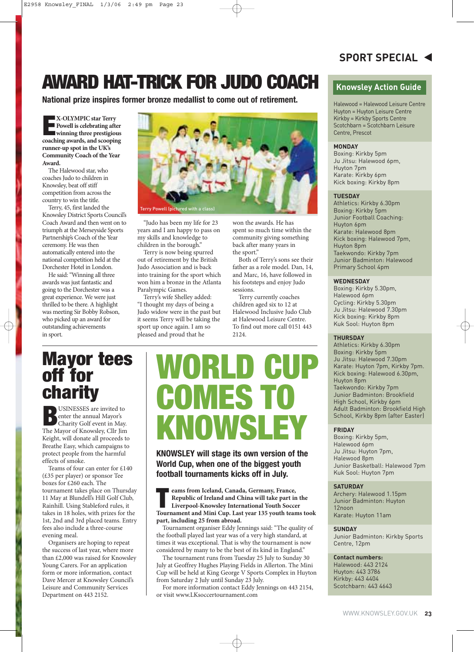### **AWARD HAT-TRICK FOR JUDO COACH**

**National prize inspires former bronze medallist to come out of retirement.**

**E X-OLYMPIC star Terry**<br>**Powell is celebrating after Powell is celebrating after winning three prestigious coaching awards, and scooping runner-up spot in the UK's Community Coach of the Year Award.**

The Halewood star, who coaches Judo to children in Knowsley, beat off stiff competition from across the country to win the title.

Terry, 45, first landed the Knowsley District Sports Council's Coach Award and then went on to triumph at the Merseyside Sports Partnership's Coach of the Year ceremony. He was then automatically entered into the national competition held at the Dorchester Hotel in London.

He said: "Winning all three awards was just fantastic and going to the Dorchester was a great experience. We were just thrilled to be there. A highlight was meeting Sir Bobby Robson, who picked up an award for outstanding achievements in sport.



Terry Powell (pictured v

"Judo has been my life for 23 years and I am happy to pass on my skills and knowledge to children in the borough."

Terry is now being spurred out of retirement by the British Judo Association and is back into training for the sport which won him a bronze in the Atlanta Paralympic Games.

Terry's wife Shelley added: "I thought my days of being a Judo widow were in the past but it seems Terry will be taking the sport up once again. I am so pleased and proud that he

won the awards. He has spent so much time within the community giving something back after many years in the sport."

Both of Terry's sons see their father as a role model. Dan, 14, and Marc, 16, have followed in his footsteps and enjoy Judo sessions.

Terry currently coaches children aged six to 12 at Halewood Inclusive Judo Club at Halewood Leisure Centre. To find out more call 0151 443  $2124$ 

### **Mayor tees off for charity**<br>DUSINESSES are invited to

**BUSINESSES** are invited to<br>
enter the annual Mayor's<br>
Charity Golf event in May<br>
The Mayor of Knowsley Cllr lin enter the annual Mayor's Charity Golf event in May. The Mayor of Knowsley, Cllr Jim Keight, will donate all proceeds to Breathe Easy, which campaigns to protect people from the harmful effects of smoke.

Teams of four can enter for £140 (£35 per player) or sponsor Tee boxes for £260 each. The tournament takes place on Thursday 11 May at Blundell's Hill Golf Club, Rainhill. Using Stableford rules, it takes in 18 holes, with prizes for the 1st, 2nd and 3rd placed teams. Entry fees also include a three-course evening meal.

Organisers are hoping to repeat the success of last year, where more than £2,000 was raised for Knowsley Young Carers. For an application form or more information, contact Dave Mercer at Knowsley Council's Leisure and Community Services Department on 443 2152.

## **WORLD CUP COMES TO KNOWSLEY**

**KNOWSLEY will stage its own version of the World Cup, when one of the biggest youth football tournaments kicks off in July.**

**The ams from Iceland, Canada, Germany, France,<br>Republic of Ireland and China will take part in<br>Liverpool-Knowsley International Youth Socce<br>Tournament and Mini Cup, Last year 135 youth team Republic of Ireland and China will take part in the Liverpool-Knowsley International Youth Soccer Tournament and Mini Cup. Last year 135 youth teams took part, including 25 from abroad.**

Tournament organiser Eddy Jennings said: "The quality of the football played last year was of a very high standard, at times it was exceptional. That is why the tournament is now considered by many to be the best of its kind in England."

The tournament runs from Tuesday 25 July to Sunday 30 July at Geoffrey Hughes Playing Fields in Allerton. The Mini Cup will be held at King George V Sports Complex in Huyton from Saturday 2 July until Sunday 23 July.

For more information contact Eddy Jennings on 443 2154, or visit www.LKsoccertournament.com

### **Knowsley Action Guide**

Halewood = Halewood Leisure Centre Huyton = Huyton Leisure Centre Kirkby = Kirkby Sports Centre Scotchbarn = Scotchbarn Leisure Centre, Prescot

### **MONDAY**

Boxing: Kirkby 5pm Ju Jitsu: Halewood 6pm, Huyton 7pm Karate: Kirkby 6pm Kick boxing: Kirkby 8pm

### **TUESDAY**

Athletics: Kirkby 6.30pm Boxing: Kirkby 5pm Junior Football Coaching: Huyton 6pm Karate: Halewood 8pm Kick boxing: Halewood 7pm, Huyton 8pm Taekwondo: Kirkby 7pm Junior Badminton: Halewood Primary School 4pm

### **WEDNESDAY**

Boxing: Kirkby 5.30pm, Halewood 6pm Cycling: Kirkby 5.30pm Ju Jitsu: Halewood 7.30pm Kick boxing: Kirkby 8pm Kuk Sool: Huyton 8pm

### **THURSDAY**

Athletics: Kirkby 6.30pm Boxing: Kirkby 5pm Ju Jitsu: Halewood 7.30pm Karate: Huyton 7pm, Kirkby 7pm. Kick boxing: Halewood 6.30pm, Huyton 8pm Taekwondo: Kirkby 7pm Junior Badminton: Brookfield High School, Kirkby 6pm Adult Badminton: Brookfield High School, Kirkby 8pm (after Easter)

### **FRIDAY**

Boxing: Kirkby 5pm, Halewood 6pm Ju Jitsu: Huyton 7pm, Halewood 8pm Junior Basketball: Halewood 7pm Kuk Sool: Huyton 7pm

#### **SATURDAY**

Archery: Halewood 1.15pm Junior Badminton: Huyton 12noon Karate: Huyton 11am

#### **SUNDAY**

Junior Badminton: Kirkby Sports Centre, 12pm

### **Contact numbers:**

Halewood: 443 2124 Huyton: 443 3786 Kirkby: 443 4404 Scotchbarn: 443 4643